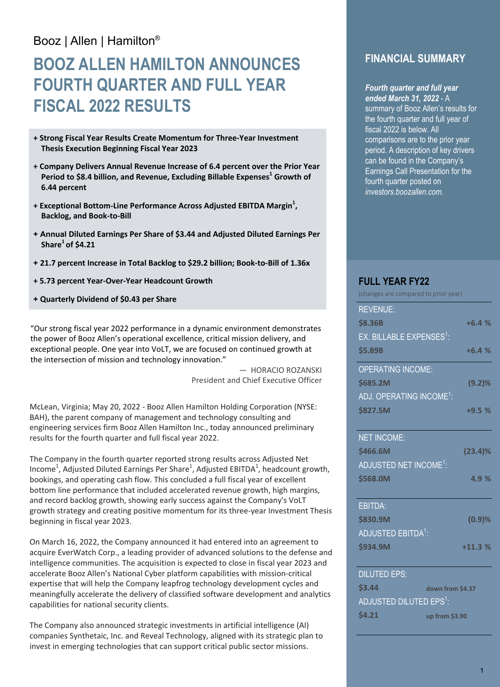# Booz | Allen | Hamilton®

# **BOOZ ALLEN HAMILTON ANNOUNCES FOURTH QUARTER AND FULL YEAR FISCAL 2022 RESULTS**

- **+ Strong Fiscal Year Results Create Momentum for Three-Year Investment Thesis Execution Beginning Fiscal Year 2023**
- **+ Company Delivers Annual Revenue Increase of 6.4 percent over the Prior Year** Period to \$8.4 billion, and Revenue, Excluding Billable Expenses<sup>1</sup> Growth of **6.44 percent**
- **+ Exceptional Bottom-Line Performance Across Adjusted EBITDA Margin<sup>1</sup>, Backlog, and Book-to-Bill**
- **+ Annual Diluted Earnings Per Share of \$3.44 and Adjusted Diluted Earnings Per Share<sup>1</sup>of \$4.21**
- **+ 21.7 percent Increase in Total Backlog to \$29.2 billion; Book-to-Bill of 1.36x**
- **+ 5.73 percent Year-Over-Year Headcount Growth**
- **+ Quarterly Dividend of \$0.43 per Share**

"Our strong fiscal year 2022 performance in a dynamic environment demonstrates the power of Booz Allen's operational excellence, critical mission delivery, and exceptional people. One year into VoLT, we are focused on continued growth at the intersection of mission and technology innovation."

> *—* HORACIO ROZANSKI President and Chief Executive Officer

McLean, Virginia; May 20, 2022 - Booz Allen Hamilton Holding Corporation (NYSE: BAH), the parent company of management and technology consulting and engineering services firm Booz Allen Hamilton Inc., today announced preliminary results for the fourth quarter and full fiscal year 2022.

The Company in the fourth quarter reported strong results across Adjusted Net Income<sup>1</sup>, Adjusted Diluted Earnings Per Share<sup>1</sup>, Adjusted EBITDA<sup>1</sup>, headcount growth, bookings, and operating cash flow. This concluded a full fiscal year of excellent bottom line performance that included accelerated revenue growth, high margins, and record backlog growth, showing early success against the Company's VoLT growth strategy and creating positive momentum for its three-year Investment Thesis beginning in fiscal year 2023.

On March 16, 2022, the Company announced it had entered into an agreement to acquire EverWatch Corp., a leading provider of advanced solutions to the defense and intelligence communities. The acquisition is expected to close in fiscal year 2023 and accelerate Booz Allen's National Cyber platform capabilities with mission-critical expertise that will help the Company leapfrog technology development cycles and meaningfully accelerate the delivery of classified software development and analytics capabilities for national security clients.

The Company also announced strategic investments in artificial intelligence (AI) companies Synthetaic, Inc. and Reveal Technology, aligned with its strategic plan to invest in emerging technologies that can support critical public sector missions.

## **FINANCIAL SUMMARY**

### *Fourth quarter and full year*

*ended March 31, 2022 -* A summary of Booz Allen's results for the fourth quarter and full year of fiscal 2022 is below. All comparisons are to the prior year period. A description of key drivers can be found in the Company's Earnings Call Presentation for the fourth quarter posted on *investors.boozallen.com.* 

### **FULL YEAR FY22**

(changes are compared to prior year)

| <b>REVENUE:</b>                      |                  |
|--------------------------------------|------------------|
| \$8.36B                              | $+6.4%$          |
| EX. BILLABLE EXPENSES <sup>1</sup> : |                  |
| \$5.89B                              | $+6.4%$          |
| <b>OPERATING INCOME:</b>             |                  |
| \$685.2M                             | (9.2)%           |
| ADJ. OPERATING INCOME <sup>1</sup> : |                  |
| \$827.5M                             | $+9.5%$          |
|                                      |                  |
| <b>NET INCOME:</b>                   |                  |
| \$466.6M                             | (23.4)%          |
| ADJUSTED NET INCOME <sup>1</sup> :   |                  |
| \$568.0M                             | 4.9%             |
|                                      |                  |
| <b>EBITDA:</b>                       |                  |
| \$830.9M                             | (0.9)%           |
| ADJUSTED EBITDA <sup>1</sup> :       |                  |
| \$934.9M                             | $+11.3%$         |
|                                      |                  |
| <b>DILUTED EPS:</b>                  |                  |
| \$3.44                               | down from \$4.37 |
| ADJUSTED DILUTED EPS <sup>1</sup> :  |                  |
| \$4.21                               | up from \$3.90   |
|                                      |                  |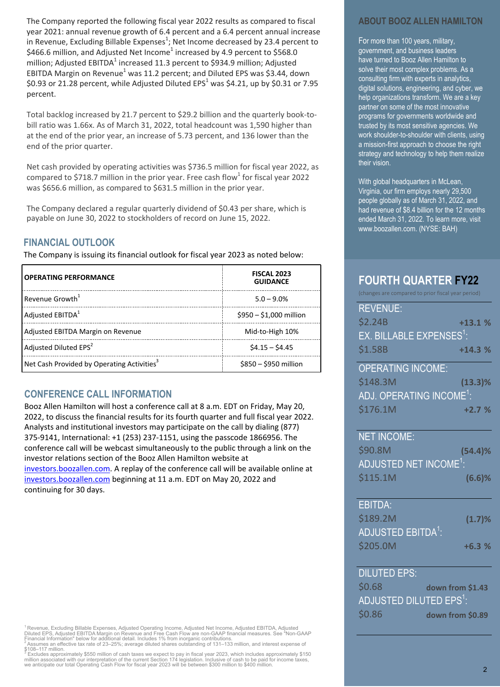The Company reported the following fiscal year 2022 results as compared to fiscal year 2021: annual revenue growth of 6.4 percent and a 6.4 percent annual increase in Revenue, Excluding Billable Expenses<sup>1</sup>; Net Income decreased by 23.4 percent to \$466.6 million, and Adjusted Net Income<sup>1</sup> increased by 4.9 percent to \$568.0 million; Adjusted EBITDA<sup>1</sup> increased 11.3 percent to \$934.9 million; Adjusted EBITDA Margin on Revenue<sup>1</sup> was 11.2 percent; and Diluted EPS was \$3.44, down \$0.93 or 21.28 percent, while Adjusted Diluted EPS<sup>1</sup> was \$4.21, up by \$0.31 or 7.95 percent.

Total backlog increased by 21.7 percent to \$29.2 billion and the quarterly book-tobill ratio was 1.66x. As of March 31, 2022, total headcount was 1,590 higher than at the end of the prior year, an increase of 5.73 percent, and 136 lower than the end of the prior quarter.

Net cash provided by operating activities was \$736.5 million for fiscal year 2022, as compared to \$718.7 million in the prior year. Free cash flow<sup>1</sup> for fiscal year 2022 was \$656.6 million, as compared to \$631.5 million in the prior year.

The Company declared a regular quarterly dividend of  $$0.43$  per share, which is payable on June 30, 2022 to stockholders of record on June 15, 2022.

### **FINANCIAL OUTLOOK**

The Company is issuing its financial outlook for fiscal year 2023 as noted below:

| <b>OPERATING PERFORMANCE</b>                           | <b>FISCAL 2023</b><br><b>GUIDANCE</b> |
|--------------------------------------------------------|---------------------------------------|
| $R$ evenue Growth $^1$                                 | $5.0 - 9.0%$                          |
| Adjusted EBITDA <sup>1</sup>                           | $$950 - $1,000$ million               |
| Adjusted EBITDA Margin on Revenue                      | Mid-to-High 10%                       |
| Adjusted Diluted EPS <sup>2</sup>                      | $$4.15 - $4.45$                       |
| Net Cash Provided by Operating Activities <sup>3</sup> | $$850 - $950$ million                 |

### **CONFERENCE CALL INFORMATION**

Booz Allen Hamilton will host a conference call at 8 a.m. EDT on Friday, May 20, 2022, to discuss the financial results for its fourth quarter and full fiscal year 2022. Analysts and institutional investors may participate on the call by dialing (877) 375-9141, International: +1 (253) 237-1151, using the passcode 1866956. The conference call will be webcast simultaneously to the public through a link on the investor relations section of the Booz Allen Hamilton website at [investors.boozallen.com.](https://investors.boozallen.com/) A replay of the conference call will be available online at investors.boozallen.com beginning at 11 a.m. EDT on May 20, 2022 and continuing for 30 days.

<sup>1</sup> Revenue, Excluding Billable Expenses, Adjusted Operating Income, Adjusted Net Income, Adjusted EBITDA, Adjusted<br>Diluted EPS, Adjusted EBITDA Margin on Revenue and Free Cash Flow are non-GAAP financial measures. See "No

\$108–117 million.

<sup>3</sup> Excludes approximately \$550 million of cash taxes we expect to pay in fiscal year 2023, which includes approximately \$150<br>million associated with our interpretation of the current Section 174 legislation. Inclusive of

### **ABOUT BOOZ ALLEN HAMILTON**

For more than 100 years, military, government, and business leaders have turned to Booz Allen Hamilton to solve their most complex problems. As a consulting firm with experts in analytics, digital solutions, engineering, and cyber, we help organizations transform. We are a key partner on some of the most innovative programs for governments worldwide and trusted by its most sensitive agencies. We work shoulder-to-shoulder with clients, using a mission-first approach to choose the right strategy and technology to help them realize their vision.

With global headquarters in McLean, Virginia, our firm employs nearly 29,500 people globally as of March 31, 2022, and had revenue of \$8.4 billion for the 12 months ended March 31, 2022. To learn more, visit www.boozallen.com. (NYSE: BAH)

# **FOURTH QUARTER FY22**

(changes are compared to prior fiscal year period)

| REVENUE:                                 |                  |
|------------------------------------------|------------------|
|                                          |                  |
| \$2.24B                                  | $+13.1%$         |
| EX. BILLABLE EXPENSES <sup>1</sup> :     |                  |
| \$1.58B                                  | $+14.3%$         |
| <b>OPERATING INCOME:</b>                 |                  |
| \$148.3M                                 | $(13.3)\%$       |
| ADJ. OPERATING INCOME <sup>1</sup> :     |                  |
| \$176.1M                                 | $+2.7%$          |
| <b>NET INCOME:</b>                       |                  |
| \$90.8M                                  | (54.4)%          |
| ADJUSTED NET INCOME <sup>1</sup> :       |                  |
|                                          |                  |
| \$115.1M                                 | (6.6)%           |
| <b>EBITDA:</b>                           |                  |
| \$189.2M                                 | (1.7)%           |
| ADJUSTED EBITDA <sup>1</sup> :           |                  |
| \$205.0M                                 | $+6.3%$          |
| <b>DILUTED EPS:</b>                      |                  |
| \$0.68                                   | down from \$1.43 |
|                                          |                  |
| <b>ADJUSTED DILUTED EPS<sup>1</sup>:</b> |                  |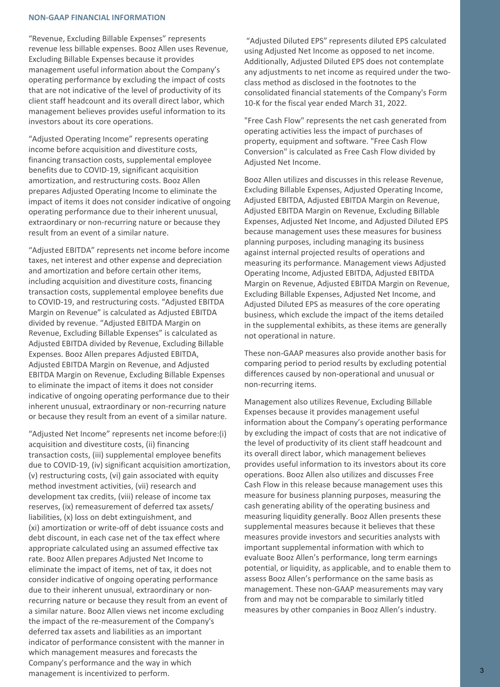#### **NON-GAAP FINANCIAL INFORMATION**

"Revenue, Excluding Billable Expenses" represents revenue less billable expenses. Booz Allen uses Revenue, Excluding Billable Expenses because it provides management useful information about the Company's operating performance by excluding the impact of costs that are not indicative of the level of productivity of its client staff headcount and its overall direct labor, which management believes provides useful information to its investors about its core operations.

"Adjusted Operating Income" represents operating income before acquisition and divestiture costs, financing transaction costs, supplemental employee benefits due to COVID-19, significant acquisition amortization, and restructuring costs. Booz Allen prepares Adjusted Operating Income to eliminate the impact of items it does not consider indicative of ongoing operating performance due to their inherent unusual, extraordinary or non-recurring nature or because they result from an event of a similar nature.

"Adjusted EBITDA" represents net income before income taxes, net interest and other expense and depreciation and amortization and before certain other items, including acquisition and divestiture costs, financing transaction costs, supplemental employee benefits due to COVID-19, and restructuring costs. "Adjusted EBITDA Margin on Revenue" is calculated as Adjusted EBITDA divided by revenue. "Adjusted EBITDA Margin on Revenue, Excluding Billable Expenses" is calculated as Adjusted EBITDA divided by Revenue, Excluding Billable Expenses. Booz Allen prepares Adjusted EBITDA, Adjusted EBITDA Margin on Revenue, and Adjusted EBITDA Margin on Revenue, Excluding Billable Expenses to eliminate the impact of items it does not consider indicative of ongoing operating performance due to their inherent unusual, extraordinary or non-recurring nature or because they result from an event of a similar nature.

"Adjusted Net Income" represents net income before:(i) acquisition and divestiture costs, (ii) financing transaction costs, (iii) supplemental employee benefits due to COVID-19, (iv) significant acquisition amortization, (v) restructuring costs, (vi) gain associated with equity method investment activities, (vii) research and development tax credits, (viii) release of income tax reserves, (ix) remeasurement of deferred tax assets/ liabilities, (x) loss on debt extinguishment, and (xi) amortization or write-off of debt issuance costs and debt discount, in each case net of the tax effect where appropriate calculated using an assumed effective tax rate. Booz Allen prepares Adjusted Net Income to eliminate the impact of items, net of tax, it does not consider indicative of ongoing operating performance due to their inherent unusual, extraordinary or nonrecurring nature or because they result from an event of a similar nature. Booz Allen views net income excluding the impact of the re-measurement of the Company's deferred tax assets and liabilities as an important indicator of performance consistent with the manner in which management measures and forecasts the Company's performance and the way in which management is incentivized to perform.

"Adjusted Diluted EPS" represents diluted EPS calculated using Adjusted Net Income as opposed to net income. Additionally, Adjusted Diluted EPS does not contemplate any adjustments to net income as required under the twoclass method as disclosed in the footnotes to the consolidated financial statements of the Company's Form 10-K for the fiscal year ended March 31, 2022.

"Free Cash Flow" represents the net cash generated from operating activities less the impact of purchases of property, equipment and software. "Free Cash Flow Conversion" is calculated as Free Cash Flow divided by Adjusted Net Income.

Booz Allen utilizes and discusses in this release Revenue, Excluding Billable Expenses, Adjusted Operating Income, Adjusted EBITDA, Adjusted EBITDA Margin on Revenue, Adjusted EBITDA Margin on Revenue, Excluding Billable Expenses, Adjusted Net Income, and Adjusted Diluted EPS because management uses these measures for business planning purposes, including managing its business against internal projected results of operations and measuring its performance. Management views Adjusted Operating Income, Adjusted EBITDA, Adjusted EBITDA Margin on Revenue, Adjusted EBITDA Margin on Revenue, Excluding Billable Expenses, Adjusted Net Income, and Adjusted Diluted EPS as measures of the core operating business, which exclude the impact of the items detailed in the supplemental exhibits, as these items are generally not operational in nature.

These non-GAAP measures also provide another basis for comparing period to period results by excluding potential differences caused by non-operational and unusual or non-recurring items.

Management also utilizes Revenue, Excluding Billable Expenses because it provides management useful information about the Company's operating performance by excluding the impact of costs that are not indicative of the level of productivity of its client staff headcount and its overall direct labor, which management believes provides useful information to its investors about its core operations. Booz Allen also utilizes and discusses Free Cash Flow in this release because management uses this measure for business planning purposes, measuring the cash generating ability of the operating business and measuring liquidity generally. Booz Allen presents these supplemental measures because it believes that these measures provide investors and securities analysts with important supplemental information with which to evaluate Booz Allen's performance, long term earnings potential, or liquidity, as applicable, and to enable them to assess Booz Allen's performance on the same basis as management. These non-GAAP measurements may vary from and may not be comparable to similarly titled measures by other companies in Booz Allen's industry.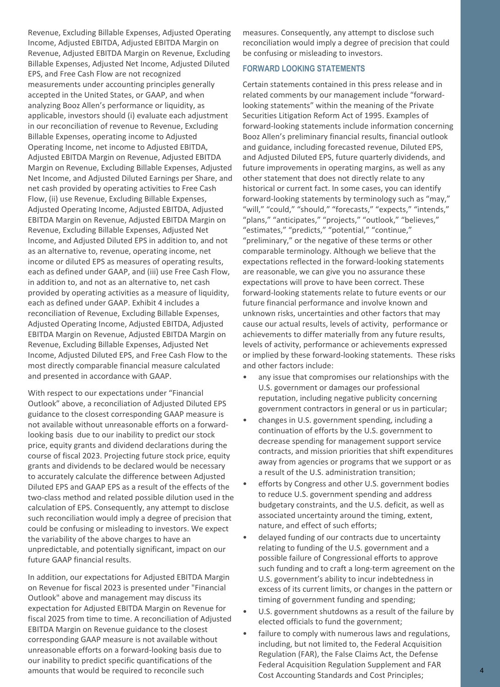Revenue, Excluding Billable Expenses, Adjusted Operating Income, Adjusted EBITDA, Adjusted EBITDA Margin on Revenue, Adjusted EBITDA Margin on Revenue, Excluding Billable Expenses, Adjusted Net Income, Adjusted Diluted EPS, and Free Cash Flow are not recognized measurements under accounting principles generally accepted in the United States, or GAAP, and when analyzing Booz Allen's performance or liquidity, as applicable, investors should (i) evaluate each adjustment in our reconciliation of revenue to Revenue, Excluding Billable Expenses, operating income to Adjusted Operating Income, net income to Adjusted EBITDA, Adjusted EBITDA Margin on Revenue, Adjusted EBITDA Margin on Revenue, Excluding Billable Expenses, Adjusted Net Income, and Adjusted Diluted Earnings per Share, and net cash provided by operating activities to Free Cash Flow, (ii) use Revenue, Excluding Billable Expenses, Adjusted Operating Income, Adjusted EBITDA, Adjusted EBITDA Margin on Revenue, Adjusted EBITDA Margin on Revenue, Excluding Billable Expenses, Adjusted Net Income, and Adjusted Diluted EPS in addition to, and not as an alternative to, revenue, operating income, net income or diluted EPS as measures of operating results, each as defined under GAAP, and (iii) use Free Cash Flow, in addition to, and not as an alternative to, net cash provided by operating activities as a measure of liquidity, each as defined under GAAP. Exhibit 4 includes a reconciliation of Revenue, Excluding Billable Expenses, Adjusted Operating Income, Adjusted EBITDA, Adjusted EBITDA Margin on Revenue, Adjusted EBITDA Margin on Revenue, Excluding Billable Expenses, Adjusted Net Income, Adjusted Diluted EPS, and Free Cash Flow to the most directly comparable financial measure calculated and presented in accordance with GAAP.

With respect to our expectations under "Financial" Outlook" above, a reconciliation of Adjusted Diluted EPS guidance to the closest corresponding GAAP measure is not available without unreasonable efforts on a forwardlooking basis due to our inability to predict our stock price, equity grants and dividend declarations during the course of fiscal 2023. Projecting future stock price, equity grants and dividends to be declared would be necessary to accurately calculate the difference between Adjusted Diluted EPS and GAAP EPS as a result of the effects of the two-class method and related possible dilution used in the calculation of EPS. Consequently, any attempt to disclose such reconciliation would imply a degree of precision that could be confusing or misleading to investors. We expect the variability of the above charges to have an unpredictable, and potentially significant, impact on our future GAAP financial results.

In addition, our expectations for Adjusted EBITDA Margin on Revenue for fiscal 2023 is presented under "Financial Outlook" above and management may discuss its expectation for Adjusted EBITDA Margin on Revenue for fiscal 2025 from time to time. A reconciliation of Adjusted EBITDA Margin on Revenue guidance to the closest corresponding GAAP measure is not available without unreasonable efforts on a forward-looking basis due to our inability to predict specific quantifications of the amounts that would be required to reconcile such

measures. Consequently, any attempt to disclose such reconciliation would imply a degree of precision that could be confusing or misleading to investors.

#### **FORWARD LOOKING STATEMENTS**

Certain statements contained in this press release and in related comments by our management include "forwardlooking statements" within the meaning of the Private Securities Litigation Reform Act of 1995. Examples of forward-looking statements include information concerning Booz Allen's preliminary financial results, financial outlook and guidance, including forecasted revenue, Diluted EPS, and Adjusted Diluted EPS, future quarterly dividends, and future improvements in operating margins, as well as any other statement that does not directly relate to any historical or current fact. In some cases, you can identify forward-looking statements by terminology such as "may," "will," "could," "should," "forecasts," "expects," "intends," "plans," "anticipates," "projects," "outlook," "believes," "estimates," "predicts," "potential," "continue," "preliminary," or the negative of these terms or other comparable terminology. Although we believe that the expectations reflected in the forward-looking statements are reasonable, we can give you no assurance these expectations will prove to have been correct. These forward-looking statements relate to future events or our future financial performance and involve known and unknown risks, uncertainties and other factors that may cause our actual results, levels of activity, performance or achievements to differ materially from any future results, levels of activity, performance or achievements expressed or implied by these forward-looking statements. These risks and other factors include:

- any issue that compromises our relationships with the U.S. government or damages our professional reputation, including negative publicity concerning government contractors in general or us in particular;
- changes in U.S. government spending, including a continuation of efforts by the U.S. government to decrease spending for management support service contracts, and mission priorities that shift expenditures away from agencies or programs that we support or as a result of the U.S. administration transition;
- efforts by Congress and other U.S. government bodies to reduce U.S. government spending and address budgetary constraints, and the U.S. deficit, as well as associated uncertainty around the timing, extent, nature, and effect of such efforts;
- delayed funding of our contracts due to uncertainty relating to funding of the U.S. government and a possible failure of Congressional efforts to approve such funding and to craft a long-term agreement on the U.S. government's ability to incur indebtedness in excess of its current limits, or changes in the pattern or timing of government funding and spending;
- U.S. government shutdowns as a result of the failure by elected officials to fund the government;
- failure to comply with numerous laws and regulations, including, but not limited to, the Federal Acquisition Regulation (FAR), the False Claims Act, the Defense Federal Acquisition Regulation Supplement and FAR Cost Accounting Standards and Cost Principles;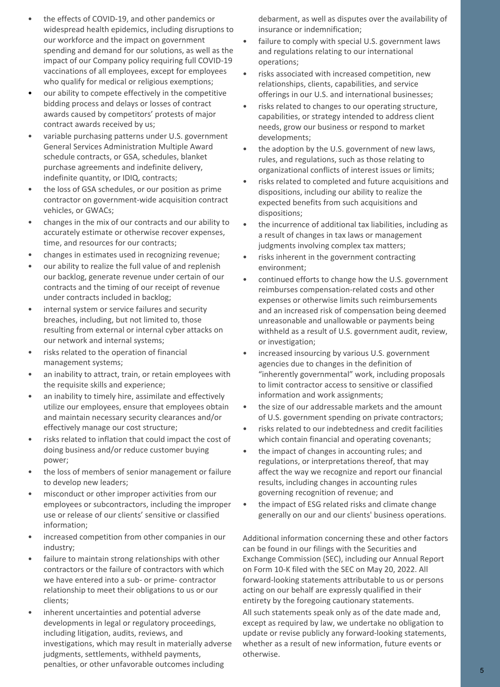- the effects of COVID-19, and other pandemics or widespread health epidemics, including disruptions to our workforce and the impact on government spending and demand for our solutions, as well as the impact of our Company policy requiring full COVID-19 vaccinations of all employees, except for employees who qualify for medical or religious exemptions;
- our ability to compete effectively in the competitive bidding process and delays or losses of contract awards caused by competitors' protests of major contract awards received by us;
- variable purchasing patterns under U.S. government General Services Administration Multiple Award schedule contracts, or GSA, schedules, blanket purchase agreements and indefinite delivery, indefinite quantity, or IDIQ, contracts;
- the loss of GSA schedules, or our position as prime contractor on government-wide acquisition contract vehicles, or GWACs;
- changes in the mix of our contracts and our ability to accurately estimate or otherwise recover expenses, time, and resources for our contracts;
- changes in estimates used in recognizing revenue;
- our ability to realize the full value of and replenish our backlog, generate revenue under certain of our contracts and the timing of our receipt of revenue under contracts included in backlog;
- internal system or service failures and security breaches, including, but not limited to, those resulting from external or internal cyber attacks on our network and internal systems;
- risks related to the operation of financial management systems;
- an inability to attract, train, or retain employees with the requisite skills and experience;
- an inability to timely hire, assimilate and effectively utilize our employees, ensure that employees obtain and maintain necessary security clearances and/or effectively manage our cost structure;
- risks related to inflation that could impact the cost of doing business and/or reduce customer buying power;
- the loss of members of senior management or failure to develop new leaders;
- misconduct or other improper activities from our employees or subcontractors, including the improper use or release of our clients' sensitive or classified information;
- increased competition from other companies in our industry;
- failure to maintain strong relationships with other contractors or the failure of contractors with which we have entered into a sub- or prime- contractor relationship to meet their obligations to us or our clients;
- inherent uncertainties and potential adverse developments in legal or regulatory proceedings, including litigation, audits, reviews, and investigations, which may result in materially adverse judgments, settlements, withheld payments, penalties, or other unfavorable outcomes including

debarment, as well as disputes over the availability of insurance or indemnification;

- failure to comply with special U.S. government laws and regulations relating to our international operations;
- risks associated with increased competition, new relationships, clients, capabilities, and service offerings in our U.S. and international businesses;
- risks related to changes to our operating structure, capabilities, or strategy intended to address client needs, grow our business or respond to market developments;
- the adoption by the U.S. government of new laws, rules, and regulations, such as those relating to organizational conflicts of interest issues or limits;
- risks related to completed and future acquisitions and dispositions, including our ability to realize the expected benefits from such acquisitions and dispositions;
- the incurrence of additional tax liabilities, including as a result of changes in tax laws or management judgments involving complex tax matters;
- risks inherent in the government contracting environment;
- continued efforts to change how the U.S. government reimburses compensation-related costs and other expenses or otherwise limits such reimbursements and an increased risk of compensation being deemed unreasonable and unallowable or payments being withheld as a result of U.S. government audit, review, or investigation;
- increased insourcing by various U.S. government agencies due to changes in the definition of "inherently governmental" work, including proposals to limit contractor access to sensitive or classified information and work assignments;
- the size of our addressable markets and the amount of U.S. government spending on private contractors;
- risks related to our indebtedness and credit facilities which contain financial and operating covenants;
- the impact of changes in accounting rules; and regulations, or interpretations thereof, that may affect the way we recognize and report our financial results, including changes in accounting rules governing recognition of revenue; and
- the impact of ESG related risks and climate change generally on our and our clients' business operations.

Additional information concerning these and other factors can be found in our filings with the Securities and Exchange Commission (SEC), including our Annual Report on Form 10-K filed with the SEC on May 20, 2022. All forward-looking statements attributable to us or persons acting on our behalf are expressly qualified in their entirety by the foregoing cautionary statements. All such statements speak only as of the date made and, except as required by law, we undertake no obligation to update or revise publicly any forward-looking statements, whether as a result of new information, future events or otherwise.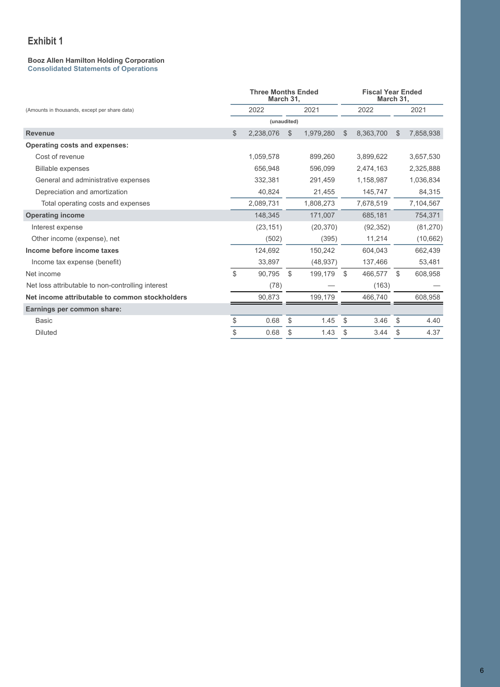#### **Booz Allen Hamilton Holding Corporation Consolidated Statements of Operations**

|                                                   | <b>Three Months Ended</b><br>March 31. |             |              |           | <b>Fiscal Year Ended</b><br>March 31. |           |              |           |
|---------------------------------------------------|----------------------------------------|-------------|--------------|-----------|---------------------------------------|-----------|--------------|-----------|
| (Amounts in thousands, except per share data)     |                                        | 2022        |              | 2021      |                                       | 2022      |              | 2021      |
|                                                   |                                        | (unaudited) |              |           |                                       |           |              |           |
| <b>Revenue</b>                                    | \$                                     | 2,238,076   | $\mathbb{S}$ | 1,979,280 | $\mathbb{S}$                          | 8,363,700 | $\mathbb{S}$ | 7,858,938 |
| <b>Operating costs and expenses:</b>              |                                        |             |              |           |                                       |           |              |           |
| Cost of revenue                                   |                                        | 1,059,578   |              | 899,260   |                                       | 3,899,622 |              | 3,657,530 |
| <b>Billable expenses</b>                          |                                        | 656.948     |              | 596.099   |                                       | 2,474,163 |              | 2,325,888 |
| General and administrative expenses               |                                        | 332,381     |              | 291,459   |                                       | 1,158,987 |              | 1,036,834 |
| Depreciation and amortization                     |                                        | 40,824      |              | 21,455    |                                       | 145,747   |              | 84,315    |
| Total operating costs and expenses                |                                        | 2,089,731   |              | 1,808,273 |                                       | 7,678,519 |              | 7,104,567 |
| <b>Operating income</b>                           |                                        | 148,345     |              | 171,007   |                                       | 685,181   |              | 754,371   |
| Interest expense                                  |                                        | (23, 151)   |              | (20, 370) |                                       | (92, 352) |              | (81, 270) |
| Other income (expense), net                       |                                        | (502)       |              | (395)     |                                       | 11,214    |              | (10,662)  |
| Income before income taxes                        |                                        | 124,692     |              | 150,242   |                                       | 604,043   |              | 662,439   |
| Income tax expense (benefit)                      |                                        | 33,897      |              | (48, 937) |                                       | 137,466   |              | 53,481    |
| Net income                                        | \$                                     | 90,795      | \$           | 199,179   | \$                                    | 466,577   | \$           | 608,958   |
| Net loss attributable to non-controlling interest |                                        | (78)        |              |           |                                       | (163)     |              |           |
| Net income attributable to common stockholders    |                                        | 90,873      |              | 199,179   |                                       | 466,740   |              | 608,958   |
| Earnings per common share:                        |                                        |             |              |           |                                       |           |              |           |
| <b>Basic</b>                                      | \$                                     | 0.68        | \$           | 1.45      | \$                                    | 3.46      | \$           | 4.40      |
| <b>Diluted</b>                                    | \$                                     | 0.68        | \$           | 1.43      | \$                                    | 3.44      | \$           | 4.37      |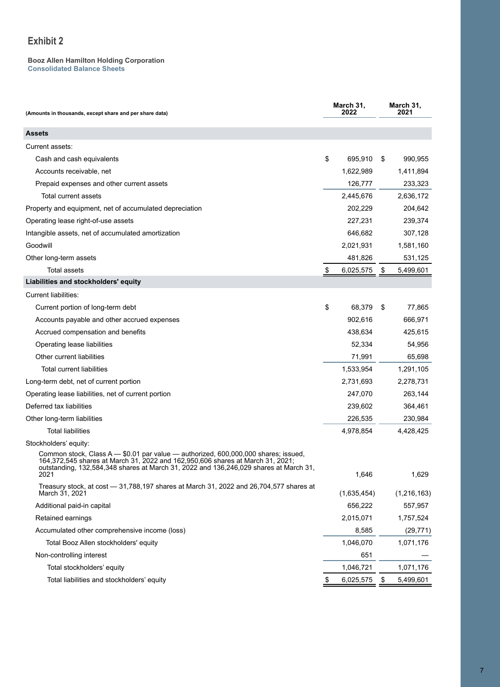**Booz Allen Hamilton Holding Corporation Consolidated Balance Sheets**

| (Amounts in thousands, except share and per share data)                                                                                                                                                                                                               | March 31,<br>2022 | March 31,<br>2021 |
|-----------------------------------------------------------------------------------------------------------------------------------------------------------------------------------------------------------------------------------------------------------------------|-------------------|-------------------|
| Assets                                                                                                                                                                                                                                                                |                   |                   |
| Current assets:                                                                                                                                                                                                                                                       |                   |                   |
| Cash and cash equivalents                                                                                                                                                                                                                                             | \$<br>695,910     | \$<br>990,955     |
| Accounts receivable, net                                                                                                                                                                                                                                              | 1,622,989         | 1,411,894         |
| Prepaid expenses and other current assets                                                                                                                                                                                                                             | 126,777           | 233,323           |
| Total current assets                                                                                                                                                                                                                                                  | 2,445,676         | 2,636,172         |
| Property and equipment, net of accumulated depreciation                                                                                                                                                                                                               | 202,229           | 204,642           |
| Operating lease right-of-use assets                                                                                                                                                                                                                                   | 227,231           | 239,374           |
| Intangible assets, net of accumulated amortization                                                                                                                                                                                                                    | 646,682           | 307,128           |
| Goodwill                                                                                                                                                                                                                                                              | 2,021,931         | 1,581,160         |
| Other long-term assets                                                                                                                                                                                                                                                | 481,826           | 531,125           |
| Total assets                                                                                                                                                                                                                                                          | \$<br>6,025,575   | \$<br>5,499,601   |
| Liabilities and stockholders' equity                                                                                                                                                                                                                                  |                   |                   |
| Current liabilities:                                                                                                                                                                                                                                                  |                   |                   |
| Current portion of long-term debt                                                                                                                                                                                                                                     | \$<br>68,379      | \$<br>77,865      |
| Accounts payable and other accrued expenses                                                                                                                                                                                                                           | 902,616           | 666,971           |
| Accrued compensation and benefits                                                                                                                                                                                                                                     | 438,634           | 425,615           |
| Operating lease liabilities                                                                                                                                                                                                                                           | 52,334            | 54,956            |
| Other current liabilities                                                                                                                                                                                                                                             | 71,991            | 65,698            |
| Total current liabilities                                                                                                                                                                                                                                             | 1,533,954         | 1,291,105         |
| Long-term debt, net of current portion                                                                                                                                                                                                                                | 2,731,693         | 2,278,731         |
| Operating lease liabilities, net of current portion                                                                                                                                                                                                                   | 247,070           | 263,144           |
| Deferred tax liabilities                                                                                                                                                                                                                                              | 239,602           | 364,461           |
| Other long-term liabilities                                                                                                                                                                                                                                           | 226,535           | 230,984           |
| <b>Total liabilities</b>                                                                                                                                                                                                                                              | 4,978,854         | 4,428,425         |
| Stockholders' equity:                                                                                                                                                                                                                                                 |                   |                   |
| Common stock, Class A - \$0.01 par value - authorized, 600,000,000 shares; issued,<br>164,372,545 shares at March 31, 2022 and 162,950,606 shares at March 31, 2021;<br>outstanding, 132,584,348 shares at March 31, 2022 and 136,246,029 shares at March 31,<br>2021 | 1,646             | 1,629             |
| Treasury stock, at $\cos\theta - 31,788,197$ shares at March 31, 2022 and 26,704,577 shares at<br>March 31, 2021                                                                                                                                                      | (1,635,454)       | (1, 216, 163)     |
| Additional paid-in capital                                                                                                                                                                                                                                            | 656,222           | 557,957           |
| Retained earnings                                                                                                                                                                                                                                                     | 2,015,071         | 1,757,524         |
| Accumulated other comprehensive income (loss)                                                                                                                                                                                                                         | 8,585             | (29, 771)         |
| Total Booz Allen stockholders' equity                                                                                                                                                                                                                                 | 1,046,070         | 1,071,176         |
| Non-controlling interest                                                                                                                                                                                                                                              | 651               |                   |
| Total stockholders' equity                                                                                                                                                                                                                                            | 1,046,721         | 1,071,176         |
| Total liabilities and stockholders' equity                                                                                                                                                                                                                            | \$<br>6,025,575   | \$<br>5,499,601   |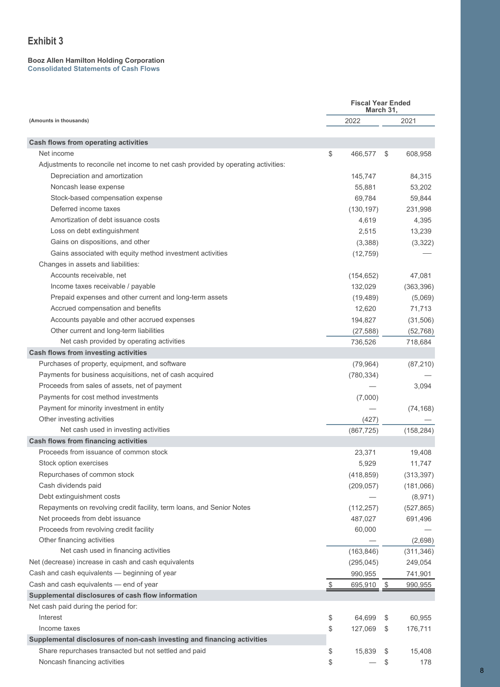**Booz Allen Hamilton Holding Corporation Consolidated Statements of Cash Flows**

|                                                                                   | <b>Fiscal Year Ended</b><br>March 31, |            |            |            |  |
|-----------------------------------------------------------------------------------|---------------------------------------|------------|------------|------------|--|
| (Amounts in thousands)                                                            |                                       | 2022       |            | 2021       |  |
| <b>Cash flows from operating activities</b>                                       |                                       |            |            |            |  |
| Net income                                                                        | \$                                    | 466,577    | \$         | 608,958    |  |
| Adjustments to reconcile net income to net cash provided by operating activities: |                                       |            |            |            |  |
| Depreciation and amortization                                                     |                                       | 145,747    |            | 84,315     |  |
| Noncash lease expense                                                             |                                       | 55,881     |            | 53,202     |  |
| Stock-based compensation expense                                                  |                                       | 69,784     |            | 59,844     |  |
| Deferred income taxes                                                             |                                       | (130, 197) |            | 231,998    |  |
| Amortization of debt issuance costs                                               |                                       | 4,619      |            | 4,395      |  |
| Loss on debt extinguishment                                                       |                                       | 2,515      |            | 13,239     |  |
| Gains on dispositions, and other                                                  |                                       | (3,388)    |            | (3,322)    |  |
| Gains associated with equity method investment activities                         |                                       | (12, 759)  |            |            |  |
| Changes in assets and liabilities:                                                |                                       |            |            |            |  |
| Accounts receivable, net                                                          |                                       | (154, 652) |            | 47,081     |  |
| Income taxes receivable / payable                                                 |                                       | 132,029    |            | (363, 396) |  |
| Prepaid expenses and other current and long-term assets                           |                                       | (19, 489)  |            | (5,069)    |  |
| Accrued compensation and benefits                                                 |                                       | 12,620     |            | 71,713     |  |
| Accounts payable and other accrued expenses                                       |                                       | 194,827    |            | (31,506)   |  |
| Other current and long-term liabilities                                           |                                       | (27, 588)  |            | (52, 768)  |  |
| Net cash provided by operating activities                                         |                                       | 736,526    |            | 718,684    |  |
| Cash flows from investing activities                                              |                                       |            |            |            |  |
| Purchases of property, equipment, and software                                    |                                       | (79, 964)  |            | (87, 210)  |  |
| Payments for business acquisitions, net of cash acquired                          |                                       | (780, 334) |            |            |  |
| Proceeds from sales of assets, net of payment                                     |                                       |            |            | 3,094      |  |
| Payments for cost method investments                                              |                                       | (7,000)    |            |            |  |
| Payment for minority investment in entity                                         |                                       |            |            | (74, 168)  |  |
| Other investing activities                                                        |                                       | (427)      |            |            |  |
| Net cash used in investing activities                                             |                                       | (867, 725) |            | (158, 284) |  |
| <b>Cash flows from financing activities</b>                                       |                                       |            |            |            |  |
| Proceeds from issuance of common stock                                            |                                       | 23,371     |            | 19,408     |  |
| Stock option exercises                                                            |                                       | 5,929      |            | 11,747     |  |
| Repurchases of common stock                                                       |                                       | (418, 859) |            | (313, 397) |  |
| Cash dividends paid                                                               |                                       | (209, 057) |            | (181,066)  |  |
| Debt extinguishment costs                                                         |                                       |            |            | (8,971)    |  |
| Repayments on revolving credit facility, term loans, and Senior Notes             |                                       | (112, 257) |            | (527, 865) |  |
| Net proceeds from debt issuance                                                   |                                       | 487,027    |            | 691,496    |  |
| Proceeds from revolving credit facility                                           |                                       | 60,000     |            |            |  |
| Other financing activities                                                        |                                       |            |            | (2,698)    |  |
| Net cash used in financing activities                                             |                                       | (163, 846) |            | (311, 346) |  |
| Net (decrease) increase in cash and cash equivalents                              |                                       | (295, 045) |            | 249,054    |  |
| Cash and cash equivalents - beginning of year                                     |                                       | 990,955    |            | 741,901    |  |
| Cash and cash equivalents - end of year                                           | \$                                    | 695,910    | $\sqrt{3}$ | 990,955    |  |
| Supplemental disclosures of cash flow information                                 |                                       |            |            |            |  |
| Net cash paid during the period for:                                              |                                       |            |            |            |  |
| Interest                                                                          | \$                                    | 64,699     | \$         | 60,955     |  |
| Income taxes                                                                      | \$                                    | 127,069    | \$         | 176,711    |  |
| Supplemental disclosures of non-cash investing and financing activities           |                                       |            |            |            |  |
| Share repurchases transacted but not settled and paid                             | \$                                    | 15,839     | \$         | 15,408     |  |
| Noncash financing activities                                                      | \$                                    |            | \$         | 178        |  |
|                                                                                   |                                       |            |            |            |  |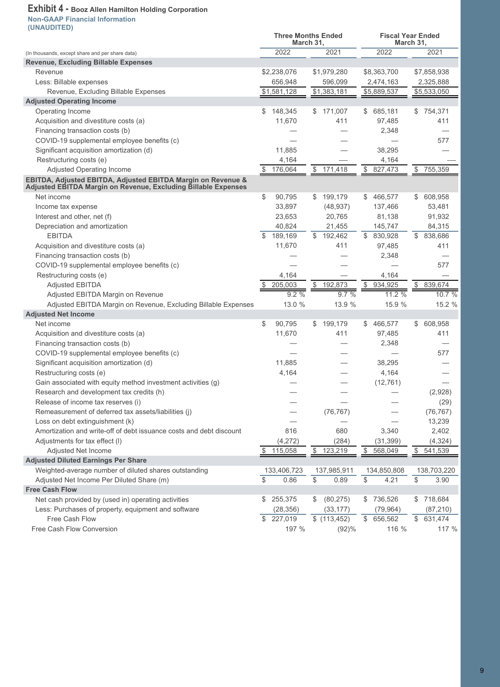# **Exhibit 4 - Booz Allen Hamilton Holding Corporation**

**Non-GAAP Financial Information**

| (UNAUDITED)                                                                                                                    |               |                                        |                         |                                       |
|--------------------------------------------------------------------------------------------------------------------------------|---------------|----------------------------------------|-------------------------|---------------------------------------|
|                                                                                                                                |               | <b>Three Months Ended</b><br>March 31, |                         | <b>Fiscal Year Ended</b><br>March 31, |
| (In thousands, except share and per share data)                                                                                | 2022          | 2021                                   | 2022                    | 2021                                  |
| <b>Revenue, Excluding Billable Expenses</b>                                                                                    |               |                                        |                         |                                       |
| Revenue                                                                                                                        | \$2,238,076   | \$1,979,280                            | \$8,363,700             | \$7,858,938                           |
| Less: Billable expenses                                                                                                        | 656,948       | 596,099                                | 2,474,163               | 2,325,888                             |
| Revenue, Excluding Billable Expenses                                                                                           | \$1,581,128   | $\overline{$}1,383,181$                | \$5,889,537             | \$5,533,050                           |
| <b>Adjusted Operating Income</b>                                                                                               |               |                                        |                         |                                       |
| Operating Income                                                                                                               | \$<br>148,345 | 171,007<br>\$                          | S<br>685,181            | 754,371<br>\$                         |
| Acquisition and divestiture costs (a)                                                                                          | 11,670        | 411                                    | 97,485                  | 411                                   |
| Financing transaction costs (b)                                                                                                |               |                                        | 2,348                   |                                       |
| COVID-19 supplemental employee benefits (c)                                                                                    |               |                                        |                         | 577                                   |
| Significant acquisition amortization (d)                                                                                       | 11,885        |                                        | 38,295                  |                                       |
| Restructuring costs (e)                                                                                                        | 4,164         |                                        | 4,164                   |                                       |
| <b>Adjusted Operating Income</b>                                                                                               | 176,064<br>S  | \$<br>171,418                          | \$<br>827,473           | \$<br>755,359                         |
| EBITDA, Adjusted EBITDA, Adjusted EBITDA Margin on Revenue &<br>Adjusted EBITDA Margin on Revenue, Excluding Billable Expenses |               |                                        |                         |                                       |
| Net income                                                                                                                     | \$<br>90,795  | 199,179<br>\$                          | 466,577<br>S            | \$<br>608,958                         |
| Income tax expense                                                                                                             | 33,897        | (48, 937)                              | 137,466                 | 53,481                                |
| Interest and other, net (f)                                                                                                    | 23,653        | 20,765                                 | 81,138                  | 91,932                                |
| Depreciation and amortization                                                                                                  | 40,824        | 21,455                                 | 145.747                 | 84,315                                |
| <b>EBITDA</b>                                                                                                                  | \$<br>189,169 | \$<br>192,462                          | $\overline{\$}$ 830,928 | $\overline{\$}$ 838,686               |
| Acquisition and divestiture costs (a)                                                                                          | 11,670        | 411                                    | 97,485                  | 411                                   |
| Financing transaction costs (b)                                                                                                |               |                                        | 2,348                   |                                       |
| COVID-19 supplemental employee benefits (c)                                                                                    |               |                                        |                         | 577                                   |
| Restructuring costs (e)                                                                                                        | 4,164         |                                        | 4,164                   |                                       |
| <b>Adjusted EBITDA</b>                                                                                                         | 205,003       | \$<br>192,873                          | \$<br>934,925           | \$<br>839,674                         |
| Adjusted EBITDA Margin on Revenue                                                                                              | 9.2%          | 9.7%                                   | 11.2 %                  | 10.7 %                                |
| Adjusted EBITDA Margin on Revenue, Excluding Billable Expenses                                                                 | 13.0 %        | 13.9 %                                 | 15.9 %                  | 15.2 %                                |
| <b>Adjusted Net Income</b>                                                                                                     |               |                                        |                         |                                       |
| Net income                                                                                                                     | \$<br>90,795  | 199,179<br>\$                          | \$<br>466,577           | \$<br>608,958                         |
| Acquisition and divestiture costs (a)                                                                                          | 11,670        | 411                                    | 97,485                  | 411                                   |
| Financing transaction costs (b)                                                                                                |               |                                        | 2,348                   |                                       |
| COVID-19 supplemental employee benefits (c)                                                                                    |               |                                        |                         | 577                                   |
| Significant acquisition amortization (d)                                                                                       | 11,885        |                                        | 38,295                  |                                       |
| Restructuring costs (e)                                                                                                        | 4,164         |                                        | 4,164                   |                                       |
| Gain associated with equity method investment activities (g)                                                                   |               |                                        | (12, 761)               |                                       |
| Research and development tax credits (h)                                                                                       |               |                                        |                         | (2,928)                               |
| Release of income tax reserves (i)                                                                                             |               |                                        |                         | (29)                                  |
| Remeasurement of deferred tax assets/liabilities (j)                                                                           |               | (76, 767)                              |                         | (76, 767)                             |
| Loss on debt extinguishment (k)                                                                                                |               |                                        |                         | 13,239                                |
| Amortization and write-off of debt issuance costs and debt discount                                                            | 816           | 680                                    | 3,340                   | 2,402                                 |
| Adjustments for tax effect (I)                                                                                                 | (4, 272)      | (284)                                  | (31, 399)               | (4, 324)                              |
| Adjusted Net Income                                                                                                            | 115,058<br>S  | \$<br>123,219                          | $\mathbb{S}$<br>568,049 | \$<br>541,539                         |
| <b>Adjusted Diluted Earnings Per Share</b>                                                                                     |               |                                        |                         |                                       |
| Weighted-average number of diluted shares outstanding                                                                          | 133,406,723   | 137,985,911                            | 134,850,808             | 138,703,220                           |
| Adjusted Net Income Per Diluted Share (m)                                                                                      | \$<br>0.86    | \$<br>0.89                             | \$<br>4.21              | \$<br>3.90                            |
| <b>Free Cash Flow</b>                                                                                                          |               |                                        |                         |                                       |
| Net cash provided by (used in) operating activities                                                                            | 255,375<br>\$ | (80, 275)<br>\$                        | \$736,526               | \$718,684                             |
| Less: Purchases of property, equipment and software                                                                            | (28, 356)     | (33, 177)                              | (79, 964)               | (87, 210)                             |
| Free Cash Flow                                                                                                                 | \$227,019     | \$(113, 452)                           | \$<br>656,562           | \$631,474                             |
| Free Cash Flow Conversion                                                                                                      | 197 %         | (92)%                                  | 116 %                   | 117 %                                 |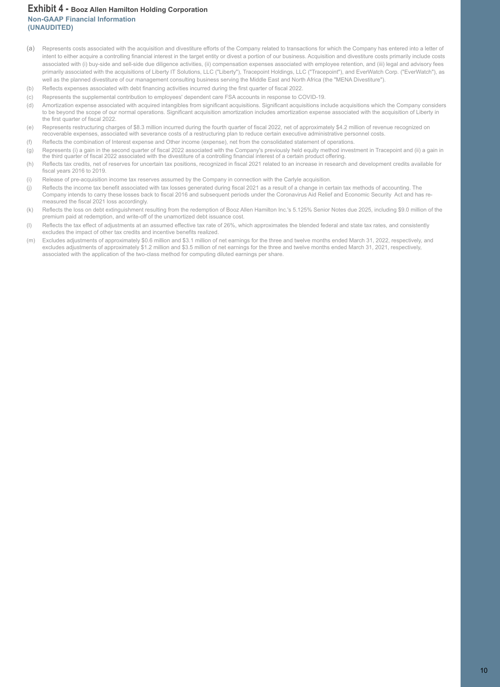#### **Exhibit 4 - Booz Allen Hamilton Holding Corporation**

**Non-GAAP Financial Information**

**(UNAUDITED)**

- (a) Represents costs associated with the acquisition and divestiture efforts of the Company related to transactions for which the Company has entered into a letter of intent to either acquire a controlling financial interest in the target entity or divest a portion of our business. Acquisition and divestiture costs primarily include costs associated with (i) buy-side and sell-side due diligence activities, (ii) compensation expenses associated with employee retention, and (iii) legal and advisory fees primarily associated with the acquisitions of Liberty IT Solutions, LLC ("Liberty"), Tracepoint Holdings, LLC ("Tracepoint"), and EverWatch Corp. ("EverWatch"), as well as the planned divestiture of our management consulting business serving the Middle East and North Africa (the "MENA Divestiture").
- (b) Reflects expenses associated with debt financing activities incurred during the first quarter of fiscal 2022.
- (c) Represents the supplemental contribution to employees' dependent care FSA accounts in response to COVID-19.
- (d) Amortization expense associated with acquired intangibles from significant acquisitions. Significant acquisitions include acquisitions which the Company considers to be beyond the scope of our normal operations. Significant acquisition amortization includes amortization expense associated with the acquisition of Liberty in the first quarter of fiscal 2022.
- (e) Represents restructuring charges of \$8.3 million incurred during the fourth quarter of fiscal 2022, net of approximately \$4.2 million of revenue recognized on recoverable expenses, associated with severance costs of a restructuring plan to reduce certain executive administrative personnel costs.
- (f) Reflects the combination of Interest expense and Other income (expense), net from the consolidated statement of operations.
- (g) Represents (i) a gain in the second quarter of fiscal 2022 associated with the Company's previously held equity method investment in Tracepoint and (ii) a gain in the third quarter of fiscal 2022 associated with the divestiture of a controlling financial interest of a certain product offering.
- (h) Reflects tax credits, net of reserves for uncertain tax positions, recognized in fiscal 2021 related to an increase in research and development credits available for fiscal years 2016 to 2019.
- (i) Release of pre-acquisition income tax reserves assumed by the Company in connection with the Carlyle acquisition.
- (j) Reflects the income tax benefit associated with tax losses generated during fiscal 2021 as a result of a change in certain tax methods of accounting. The Company intends to carry these losses back to fiscal 2016 and subsequent periods under the Coronavirus Aid Relief and Economic Security Act and has remeasured the fiscal 2021 loss accordingly.
- (k) Reflects the loss on debt extinguishment resulting from the redemption of Booz Allen Hamilton Inc.'s 5.125% Senior Notes due 2025, including \$9.0 million of the premium paid at redemption, and write-off of the unamortized debt issuance cost.
- (l) Reflects the tax effect of adjustments at an assumed effective tax rate of 26%, which approximates the blended federal and state tax rates, and consistently excludes the impact of other tax credits and incentive benefits realized.
- (m) Excludes adjustments of approximately \$0.6 million and \$3.1 million of net earnings for the three and twelve months ended March 31, 2022, respectively, and excludes adjustments of approximately \$1.2 million and \$3.5 million of net earnings for the three and twelve months ended March 31, 2021, respectively, associated with the application of the two-class method for computing diluted earnings per share.